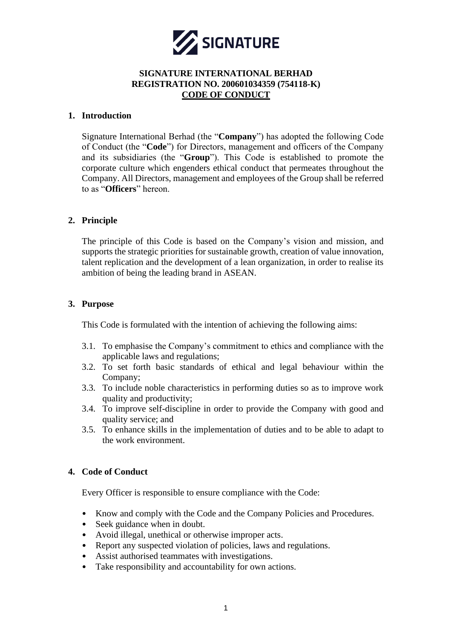

### **1. Introduction**

Signature International Berhad (the "**Company**") has adopted the following Code of Conduct (the "**Code**") for Directors, management and officers of the Company and its subsidiaries (the "**Group**"). This Code is established to promote the corporate culture which engenders ethical conduct that permeates throughout the Company. All Directors, management and employees of the Group shall be referred to as "**Officers**" hereon.

# **2. Principle**

The principle of this Code is based on the Company's vision and mission, and supports the strategic priorities for sustainable growth, creation of value innovation, talent replication and the development of a lean organization, in order to realise its ambition of being the leading brand in ASEAN.

## **3. Purpose**

This Code is formulated with the intention of achieving the following aims:

- 3.1. To emphasise the Company's commitment to ethics and compliance with the applicable laws and regulations;
- 3.2. To set forth basic standards of ethical and legal behaviour within the Company;
- 3.3. To include noble characteristics in performing duties so as to improve work quality and productivity;
- 3.4. To improve self-discipline in order to provide the Company with good and quality service; and
- 3.5. To enhance skills in the implementation of duties and to be able to adapt to the work environment.

# **4. Code of Conduct**

Every Officer is responsible to ensure compliance with the Code:

- Know and comply with the Code and the Company Policies and Procedures.
- Seek guidance when in doubt.
- Avoid illegal, unethical or otherwise improper acts.
- Report any suspected violation of policies, laws and regulations.
- Assist authorised teammates with investigations.
- Take responsibility and accountability for own actions.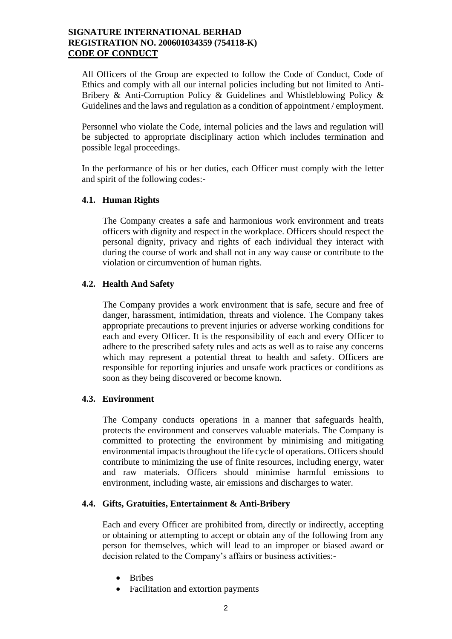All Officers of the Group are expected to follow the Code of Conduct, Code of Ethics and comply with all our internal policies including but not limited to Anti-Bribery & Anti-Corruption Policy & Guidelines and Whistleblowing Policy & Guidelines and the laws and regulation as a condition of appointment / employment.

Personnel who violate the Code, internal policies and the laws and regulation will be subjected to appropriate disciplinary action which includes termination and possible legal proceedings.

In the performance of his or her duties, each Officer must comply with the letter and spirit of the following codes:-

### **4.1. Human Rights**

The Company creates a safe and harmonious work environment and treats officers with dignity and respect in the workplace. Officers should respect the personal dignity, privacy and rights of each individual they interact with during the course of work and shall not in any way cause or contribute to the violation or circumvention of human rights.

#### **4.2. Health And Safety**

The Company provides a work environment that is safe, secure and free of danger, harassment, intimidation, threats and violence. The Company takes appropriate precautions to prevent injuries or adverse working conditions for each and every Officer. It is the responsibility of each and every Officer to adhere to the prescribed safety rules and acts as well as to raise any concerns which may represent a potential threat to health and safety. Officers are responsible for reporting injuries and unsafe work practices or conditions as soon as they being discovered or become known.

#### **4.3. Environment**

The Company conducts operations in a manner that safeguards health, protects the environment and conserves valuable materials. The Company is committed to protecting the environment by minimising and mitigating environmental impacts throughout the life cycle of operations. Officers should contribute to minimizing the use of finite resources, including energy, water and raw materials. Officers should minimise harmful emissions to environment, including waste, air emissions and discharges to water.

#### **4.4. Gifts, Gratuities, Entertainment & Anti-Bribery**

Each and every Officer are prohibited from, directly or indirectly, accepting or obtaining or attempting to accept or obtain any of the following from any person for themselves, which will lead to an improper or biased award or decision related to the Company's affairs or business activities:-

- Bribes
- Facilitation and extortion payments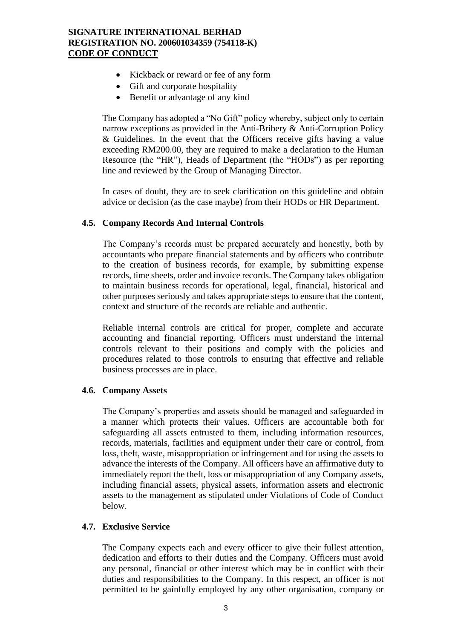- Kickback or reward or fee of any form
- Gift and corporate hospitality
- Benefit or advantage of any kind

The Company has adopted a "No Gift" policy whereby, subject only to certain narrow exceptions as provided in the Anti-Bribery & Anti-Corruption Policy & Guidelines. In the event that the Officers receive gifts having a value exceeding RM200.00, they are required to make a declaration to the Human Resource (the "HR"), Heads of Department (the "HODs") as per reporting line and reviewed by the Group of Managing Director.

In cases of doubt, they are to seek clarification on this guideline and obtain advice or decision (as the case maybe) from their HODs or HR Department.

### **4.5. Company Records And Internal Controls**

The Company's records must be prepared accurately and honestly, both by accountants who prepare financial statements and by officers who contribute to the creation of business records, for example, by submitting expense records, time sheets, order and invoice records. The Company takes obligation to maintain business records for operational, legal, financial, historical and other purposes seriously and takes appropriate steps to ensure that the content, context and structure of the records are reliable and authentic.

Reliable internal controls are critical for proper, complete and accurate accounting and financial reporting. Officers must understand the internal controls relevant to their positions and comply with the policies and procedures related to those controls to ensuring that effective and reliable business processes are in place.

### **4.6. Company Assets**

The Company's properties and assets should be managed and safeguarded in a manner which protects their values. Officers are accountable both for safeguarding all assets entrusted to them, including information resources, records, materials, facilities and equipment under their care or control, from loss, theft, waste, misappropriation or infringement and for using the assets to advance the interests of the Company. All officers have an affirmative duty to immediately report the theft, loss or misappropriation of any Company assets, including financial assets, physical assets, information assets and electronic assets to the management as stipulated under Violations of Code of Conduct below.

### **4.7. Exclusive Service**

The Company expects each and every officer to give their fullest attention, dedication and efforts to their duties and the Company. Officers must avoid any personal, financial or other interest which may be in conflict with their duties and responsibilities to the Company. In this respect, an officer is not permitted to be gainfully employed by any other organisation, company or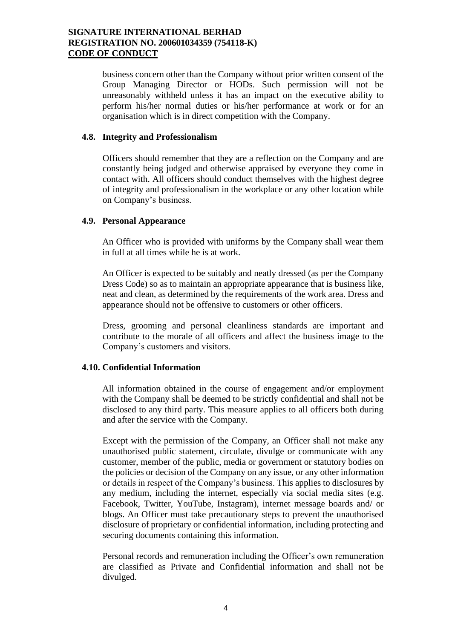business concern other than the Company without prior written consent of the Group Managing Director or HODs. Such permission will not be unreasonably withheld unless it has an impact on the executive ability to perform his/her normal duties or his/her performance at work or for an organisation which is in direct competition with the Company.

### **4.8. Integrity and Professionalism**

Officers should remember that they are a reflection on the Company and are constantly being judged and otherwise appraised by everyone they come in contact with. All officers should conduct themselves with the highest degree of integrity and professionalism in the workplace or any other location while on Company's business.

#### **4.9. Personal Appearance**

An Officer who is provided with uniforms by the Company shall wear them in full at all times while he is at work.

An Officer is expected to be suitably and neatly dressed (as per the Company Dress Code) so as to maintain an appropriate appearance that is business like, neat and clean, as determined by the requirements of the work area. Dress and appearance should not be offensive to customers or other officers.

Dress, grooming and personal cleanliness standards are important and contribute to the morale of all officers and affect the business image to the Company's customers and visitors.

## **4.10. Confidential Information**

All information obtained in the course of engagement and/or employment with the Company shall be deemed to be strictly confidential and shall not be disclosed to any third party. This measure applies to all officers both during and after the service with the Company.

Except with the permission of the Company, an Officer shall not make any unauthorised public statement, circulate, divulge or communicate with any customer, member of the public, media or government or statutory bodies on the policies or decision of the Company on any issue, or any other information or details in respect of the Company's business. This applies to disclosures by any medium, including the internet, especially via social media sites (e.g. Facebook, Twitter, YouTube, Instagram), internet message boards and/ or blogs. An Officer must take precautionary steps to prevent the unauthorised disclosure of proprietary or confidential information, including protecting and securing documents containing this information.

Personal records and remuneration including the Officer's own remuneration are classified as Private and Confidential information and shall not be divulged.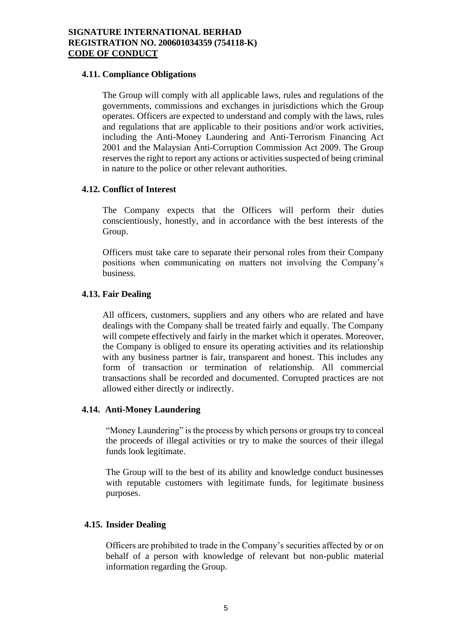### **4.11. Compliance Obligations**

The Group will comply with all applicable laws, rules and regulations of the governments, commissions and exchanges in jurisdictions which the Group operates. Officers are expected to understand and comply with the laws, rules and regulations that are applicable to their positions and/or work activities, including the Anti-Money Laundering and Anti-Terrorism Financing Act 2001 and the Malaysian Anti-Corruption Commission Act 2009. The Group reserves the right to report any actions or activities suspected of being criminal in nature to the police or other relevant authorities.

## **4.12. Conflict of Interest**

The Company expects that the Officers will perform their duties conscientiously, honestly, and in accordance with the best interests of the Group.

Officers must take care to separate their personal roles from their Company positions when communicating on matters not involving the Company's business.

## **4.13. Fair Dealing**

All officers, customers, suppliers and any others who are related and have dealings with the Company shall be treated fairly and equally. The Company will compete effectively and fairly in the market which it operates. Moreover, the Company is obliged to ensure its operating activities and its relationship with any business partner is fair, transparent and honest. This includes any form of transaction or termination of relationship. All commercial transactions shall be recorded and documented. Corrupted practices are not allowed either directly or indirectly.

### **4.14. Anti-Money Laundering**

"Money Laundering" is the process by which persons or groups try to conceal the proceeds of illegal activities or try to make the sources of their illegal funds look legitimate.

The Group will to the best of its ability and knowledge conduct businesses with reputable customers with legitimate funds, for legitimate business purposes.

# **4.15. Insider Dealing**

Officers are prohibited to trade in the Company's securities affected by or on behalf of a person with knowledge of relevant but non-public material information regarding the Group.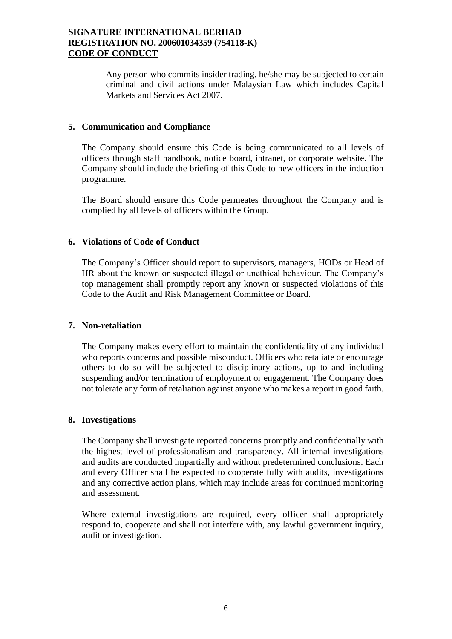Any person who commits insider trading, he/she may be subjected to certain criminal and civil actions under Malaysian Law which includes Capital Markets and Services Act 2007.

## **5. Communication and Compliance**

The Company should ensure this Code is being communicated to all levels of officers through staff handbook, notice board, intranet, or corporate website. The Company should include the briefing of this Code to new officers in the induction programme.

The Board should ensure this Code permeates throughout the Company and is complied by all levels of officers within the Group.

## **6. Violations of Code of Conduct**

The Company's Officer should report to supervisors, managers, HODs or Head of HR about the known or suspected illegal or unethical behaviour. The Company's top management shall promptly report any known or suspected violations of this Code to the Audit and Risk Management Committee or Board.

### **7. Non-retaliation**

The Company makes every effort to maintain the confidentiality of any individual who reports concerns and possible misconduct. Officers who retaliate or encourage others to do so will be subjected to disciplinary actions, up to and including suspending and/or termination of employment or engagement. The Company does not tolerate any form of retaliation against anyone who makes a report in good faith.

### **8. Investigations**

The Company shall investigate reported concerns promptly and confidentially with the highest level of professionalism and transparency. All internal investigations and audits are conducted impartially and without predetermined conclusions. Each and every Officer shall be expected to cooperate fully with audits, investigations and any corrective action plans, which may include areas for continued monitoring and assessment.

Where external investigations are required, every officer shall appropriately respond to, cooperate and shall not interfere with, any lawful government inquiry, audit or investigation.